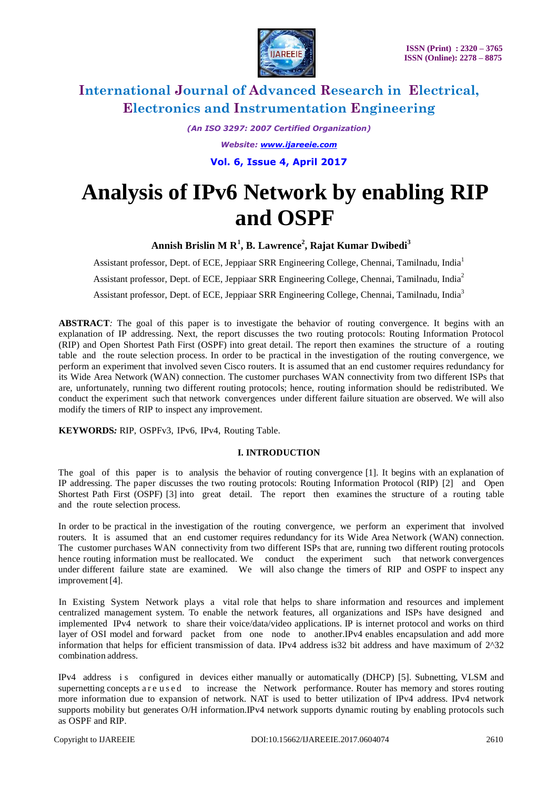

*(An ISO 3297: 2007 Certified Organization) Website: www.ijareeie.com* **Vol. 6, Issue 4, April 2017**

# **Analysis of IPv6 Network by enabling RIP and OSPF**

**Annish Brislin M R<sup>1</sup> , B. Lawrence 2 , Rajat Kumar Dwibedi<sup>3</sup>**

Assistant professor, Dept. of ECE, Jeppiaar SRR Engineering College, Chennai, Tamilnadu, India<sup>1</sup> Assistant professor, Dept. of ECE, Jeppiaar SRR Engineering College, Chennai, Tamilnadu, India<sup>2</sup> Assistant professor, Dept. of ECE, Jeppiaar SRR Engineering College, Chennai, Tamilnadu, India<sup>3</sup>

**ABSTRACT***:* The goal of this paper is to investigate the behavior of routing convergence. It begins with an explanation of IP addressing. Next, the report discusses the two routing protocols: Routing Information Protocol (RIP) and Open Shortest Path First (OSPF) into great detail. The report then examines the structure of a routing table and the route selection process. In order to be practical in the investigation of the routing convergence, we perform an experiment that involved seven Cisco routers. It is assumed that an end customer requires redundancy for its Wide Area Network (WAN) connection. The customer purchases WAN connectivity from two different ISPs that are, unfortunately, running two different routing protocols; hence, routing information should be redistributed. We conduct the experiment such that network convergences under different failure situation are observed. We will also modify the timers of RIP to inspect any improvement.

**KEYWORDS***:* RIP, OSPFv3, IPv6, IPv4, Routing Table.

### **I. INTRODUCTION**

The goal of this paper is to analysis the behavior of routing convergence [1]. It begins with an explanation of IP addressing. The paper discusses the two routing protocols: Routing Information Protocol (RIP) [2] and Open Shortest Path First (OSPF) [3] into great detail. The report then examines the structure of a routing table and the route selection process.

In order to be practical in the investigation of the routing convergence, we perform an experiment that involved routers. It is assumed that an end customer requires redundancy for its Wide Area Network (WAN) connection. The customer purchases WAN connectivity from two different ISPs that are, running two different routing protocols hence routing information must be reallocated. We conduct the experiment such that network convergences under different failure state are examined. We will also change the timers of RIP and OSPF to inspect any improvement [4].

In Existing System Network plays a vital role that helps to share information and resources and implement centralized management system. To enable the network features, all organizations and ISPs have designed and implemented IPv4 network to share their voice/data/video applications. IP is internet protocol and works on third layer of OSI model and forward packet from one node to another.IPv4 enables encapsulation and add more information that helps for efficient transmission of data. IPv4 address is32 bit address and have maximum of 2^32 combination address.

IPv4 address i s configured in devices either manually or automatically (DHCP) [5]. Subnetting, VLSM and supernetting concepts a r e u s e d to increase the Network performance. Router has memory and stores routing more information due to expansion of network. NAT is used to better utilization of IPv4 address. IPv4 network supports mobility but generates O/H information.IPv4 network supports dynamic routing by enabling protocols such as OSPF and RIP.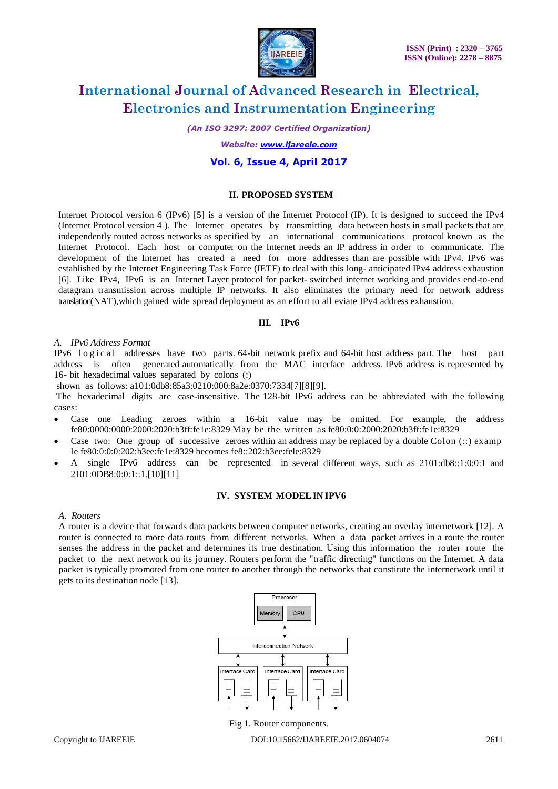

*(An ISO 3297: 2007 Certified Organization)*

*Website: www.ijareeie.com*

### **Vol. 6, Issue 4, April 2017**

### **II. PROPOSED SYSTEM**

Internet Protocol version 6 (IPv6) [5] is a version of the Internet Protocol (IP). It is designed to succeed the IPv4 (Internet Protocol version 4 ). The Internet operates by transmitting data between hosts in small packets that are independently routed across networks as specified by an international communications protocol known as the Internet Protocol. Each host or computer on the Internet needs an IP address in order to communicate. The development of the Internet has created a need for more addresses than are possible with IPv4. IPv6 was established by the Internet Engineering Task Force (IETF) to deal with this long- anticipated IPv4 address exhaustion [6]. Like IPv4, IPv6 is an Internet Layer protocol for packet- switched internet working and provides end-to-end datagram transmission across multiple IP networks. It also eliminates the primary need for network address translation(NAT),which gained wide spread deployment as an effort to all eviate IPv4 address exhaustion.

### **III. IPv6**

### *A. IPv6 Address Format*

IPv6 logical addresses have two parts. 64-bit network prefix and 64-bit host address part. The host part address is often generated automatically from the MAC interface address. IPv6 address is represented by 16- bit hexadecimal values separated by colons (:)

shown as follows: a101:0db8:85a3:0210:000:8a2e:0370:7334[7][8][9].

The hexadecimal digits are case-insensitive. The 128-bit IPv6 address can be abbreviated with the following cases:

- Case one Leading zeroes within a 16-bit value may be omitted. For example, the address fe80:0000:0000:2000:2020:b3ff:fe1e:8329 May be the written as fe80:0:0:2000:2020:b3ff:fe1e:8329
- Case two: One group of successive zeroes within an address may be replaced by a double Colon  $(:):$  examp le fe80:0:0:0:202:b3ee:fe1e:8329 becomes fe8::202:b3ee:fele:8329
- A single IPv6 address can be represented in several different ways, such as 2101:db8::1:0:0:1 and 2101:0DB8:0:0:1::1.[10][11]

### **IV. SYSTEM MODELIN IPV6**

#### *A. Routers*

A router is a device that forwards data packets between computer networks, creating an overlay internetwork [12]. A router is connected to more data routs from different networks. When a data packet arrives in a route the router senses the address in the packet and determines its true destination. Using this information the router route the packet to the next network on its journey. Routers perform the "traffic directing" functions on the Internet. A data packet is typically promoted from one router to another through the networks that constitute the internetwork until it gets to its destination node [13].



Fig 1. Router components.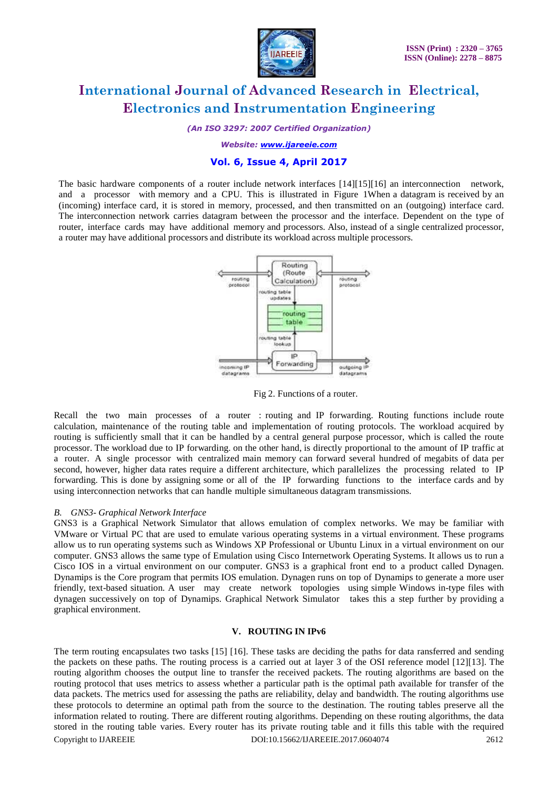

*(An ISO 3297: 2007 Certified Organization)*

*Website: www.ijareeie.com*

# **Vol. 6, Issue 4, April 2017**

The basic hardware components of a router include network interfaces [14][15][16] an interconnection network, and a processor with memory and a CPU. This is illustrated in Figure 1When a datagram is received by an (incoming) interface card, it is stored in memory, processed, and then transmitted on an (outgoing) interface card. The interconnection network carries datagram between the processor and the interface. Dependent on the type of router, interface cards may have additional memory and processors. Also, instead of a single centralized processor, a router may have additional processors and distribute its workload across multiple processors.



Fig 2. Functions of a router.

Recall the two main processes of a router : routing and IP forwarding. Routing functions include route calculation, maintenance of the routing table and implementation of routing protocols. The workload acquired by routing is sufficiently small that it can be handled by a central general purpose processor, which is called the route processor. The workload due to IP forwarding. on the other hand, is directly proportional to the amount of IP traffic at a router. A single processor with centralized main memory can forward several hundred of megabits of data per second, however, higher data rates require a different architecture, which parallelizes the processing related to IP forwarding. This is done by assigning some or all of the IP forwarding functions to the interface cards and by using interconnection networks that can handle multiple simultaneous datagram transmissions.

### *B. GNS3- Graphical Network Interface*

GNS3 is a Graphical Network Simulator that allows emulation of complex networks. We may be familiar with VMware or Virtual PC that are used to emulate various operating systems in a virtual environment. These programs allow us to run operating systems such as Windows XP Professional or Ubuntu Linux in a virtual environment on our computer. GNS3 allows the same type of Emulation using Cisco Internetwork Operating Systems. It allows us to run a Cisco IOS in a virtual environment on our computer. GNS3 is a graphical front end to a product called Dynagen. Dynamips is the Core program that permits IOS emulation. Dynagen runs on top of Dynamips to generate a more user friendly, text-based situation. A user may create network topologies using simple Windows in-type files with dynagen successively on top of Dynamips. Graphical Network Simulator takes this a step further by providing a graphical environment.

### **V. ROUTING IN IPv6**

Copyright to IJAREEIE DOI:10.15662/IJAREEIE.2017.0604074 2612 The term routing encapsulates two tasks [15] [16]. These tasks are deciding the paths for data ransferred and sending the packets on these paths. The routing process is a carried out at layer 3 of the OSI reference model [12][13]. The routing algorithm chooses the output line to transfer the received packets. The routing algorithms are based on the routing protocol that uses metrics to assess whether a particular path is the optimal path available for transfer of the data packets. The metrics used for assessing the paths are reliability, delay and bandwidth. The routing algorithms use these protocols to determine an optimal path from the source to the destination. The routing tables preserve all the information related to routing. There are different routing algorithms. Depending on these routing algorithms, the data stored in the routing table varies. Every router has its private routing table and it fills this table with the required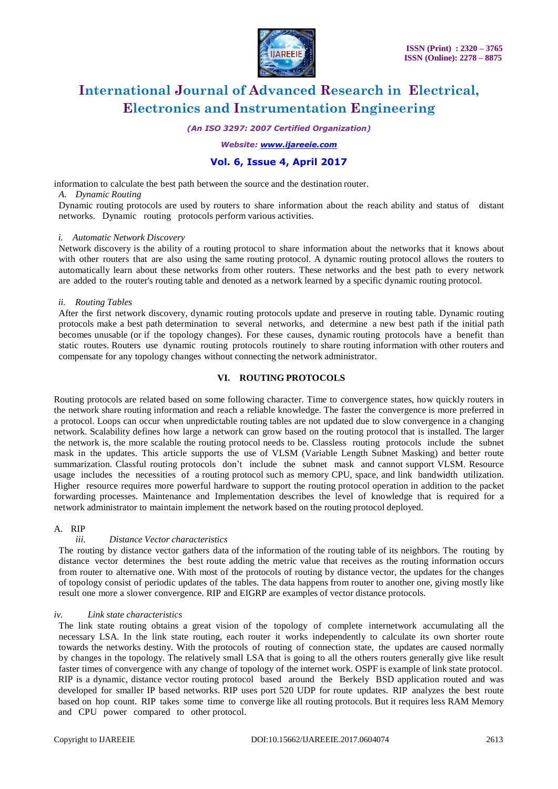

*(An ISO 3297: 2007 Certified Organization)*

*Website: www.ijareeie.com*

### **Vol. 6, Issue 4, April 2017**

information to calculate the best path between the source and the destination router.

*A. Dynamic Routing*

Dynamic routing protocols are used by routers to share information about the reach ability and status of distant networks. Dynamic routing protocols perform various activities.

### *i. Automatic Network Discovery*

Network discovery is the ability of a routing protocol to share information about the networks that it knows about with other routers that are also using the same routing protocol. A dynamic routing protocol allows the routers to automatically learn about these networks from other routers. These networks and the best path to every network are added to the router's routing table and denoted as a network learned by a specific dynamic routing protocol.

### *ii. Routing Tables*

After the first network discovery, dynamic routing protocols update and preserve in routing table. Dynamic routing protocols make a best path determination to several networks, and determine a new best path if the initial path becomes unusable (or if the topology changes). For these causes, dynamic routing protocols have a benefit than static routes. Routers use dynamic routing protocols routinely to share routing information with other routers and compensate for any topology changes without connecting the network administrator.

### **VI. ROUTING PROTOCOLS**

Routing protocols are related based on some following character. Time to convergence states, how quickly routers in the network share routing information and reach a reliable knowledge. The faster the convergence is more preferred in a protocol. Loops can occur when unpredictable routing tables are not updated due to slow convergence in a changing network. Scalability defines how large a network can grow based on the routing protocol that is installed. The larger the network is, the more scalable the routing protocol needs to be. Classless routing protocols include the subnet mask in the updates. This article supports the use of VLSM (Variable Length Subnet Masking) and better route summarization. Classful routing protocols don't include the subnet mask and cannot support VLSM. Resource usage includes the necessities of a routing protocol such as memory CPU, space, and link bandwidth utilization. Higher resource requires more powerful hardware to support the routing protocol operation in addition to the packet forwarding processes. Maintenance and Implementation describes the level of knowledge that is required for a network administrator to maintain implement the network based on the routing protocol deployed.

### A. RIP

### *iii. Distance Vector characteristics*

The routing by distance vector gathers data of the information of the routing table of its neighbors. The routing by distance vector determines the best route adding the metric value that receives as the routing information occurs from router to alternative one. With most of the protocols of routing by distance vector, the updates for the changes of topology consist of periodic updates of the tables. The data happens from router to another one, giving mostly like result one more a slower convergence. RIP and EIGRP are examples of vector distance protocols.

#### *iv. Link state characteristics*

The link state routing obtains a great vision of the topology of complete internetwork accumulating all the necessary LSA. In the link state routing, each router it works independently to calculate its own shorter route towards the networks destiny. With the protocols of routing of connection state, the updates are caused normally by changes in the topology. The relatively small LSA that is going to all the others routers generally give like result faster times of convergence with any change of topology of the internet work. OSPF is example of link state protocol. RIP is a dynamic, distance vector routing protocol based around the Berkely BSD application routed and was developed for smaller IP based networks. RIP uses port 520 UDP for route updates. RIP analyzes the best route based on hop count. RIP takes some time to converge like all routing protocols. But it requires less RAM Memory and CPU power compared to other protocol.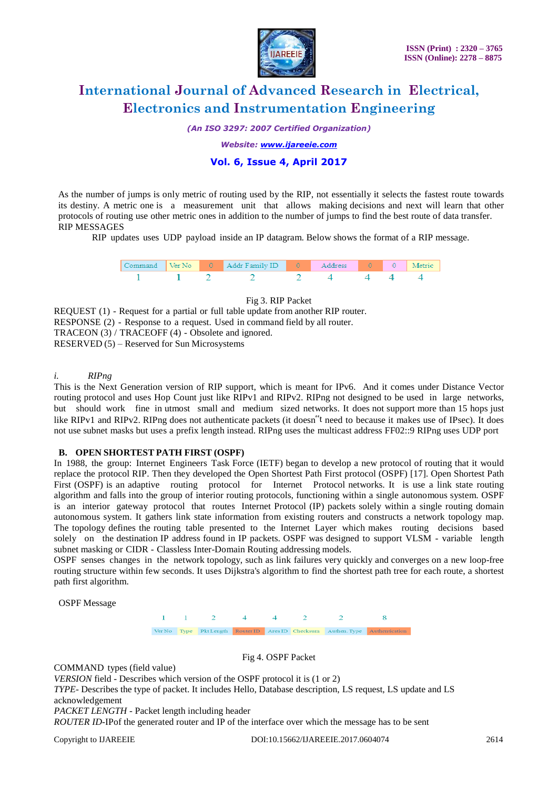

*(An ISO 3297: 2007 Certified Organization)*

*Website: www.ijareeie.com*

# **Vol. 6, Issue 4, April 2017**

As the number of jumps is only metric of routing used by the RIP, not essentially it selects the fastest route towards its destiny. A metric one is a measurement unit that allows making decisions and next will learn that other protocols of routing use other metric ones in addition to the number of jumps to find the best route of data transfer. RIP MESSAGES

RIP updates uses UDP payload inside an IP datagram. Below shows the format of a RIP message.

|  | Ver No 0 Addr Family ID 0 Addy |  |  |  |
|--|--------------------------------|--|--|--|
|  |                                |  |  |  |

### Fig 3. RIP Packet

REQUEST (1) - Request for a partial or full table update from another RIP router. RESPONSE (2) - Response to a request. Used in command field by all router. TRACEON (3) / TRACEOFF (4) - Obsolete and ignored. RESERVED (5) – Reserved for Sun Microsystems

### *i. RIPng*

This is the Next Generation version of RIP support, which is meant for IPv6. And it comes under Distance Vector routing protocol and uses Hop Count just like RIPv1 and RIPv2. RIPng not designed to be used in large networks, but should work fine in utmost small and medium sized networks. It does not support more than 15 hops just like RIPv1 and RIPv2. RIPng does not authenticate packets (it doesn"t need to because it makes use of IPsec). It does not use subnet masks but uses a prefix length instead. RIPng uses the multicast address FF02::9 RIPng uses UDP port

### **B. OPEN SHORTEST PATH FIRST (OSPF)**

In 1988, the group: Internet Engineers Task Force (IETF) began to develop a new protocol of routing that it would replace the protocol RIP. Then they developed the Open Shortest Path First protocol (OSPF) [17]. Open Shortest Path First (OSPF) is an adaptive routing protocol for Internet Protocol networks. It is use a link state routing algorithm and falls into the group of interior routing protocols, functioning within a single autonomous system. OSPF is an interior gateway protocol that routes Internet Protocol (IP) packets solely within a single routing domain autonomous system. It gathers link state information from existing routers and constructs a network topology map. The topology defines the routing table presented to the Internet Layer which makes routing decisions based solely on the destination IP address found in IP packets. OSPF was designed to support VLSM - variable length subnet masking or CIDR - Classless Inter-Domain Routing addressing models.

OSPF senses changes in the network topology, such as link failures very quickly and converges on a new loop-free routing structure within few seconds. It uses Dijkstra's algorithm to find the shortest path tree for each route, a shortest path first algorithm.

OSPF Message



Fig 4. OSPF Packet

COMMAND types (field value)

*VERSION* field - Describes which version of the OSPF protocol it is (1 or 2)

*TYPE*- Describes the type of packet. It includes Hello, Database description, LS request, LS update and LS acknowledgement

*PACKET LENGTH -* Packet length including header

*ROUTER ID-*IPof the generated router and IP of the interface over which the message has to be sent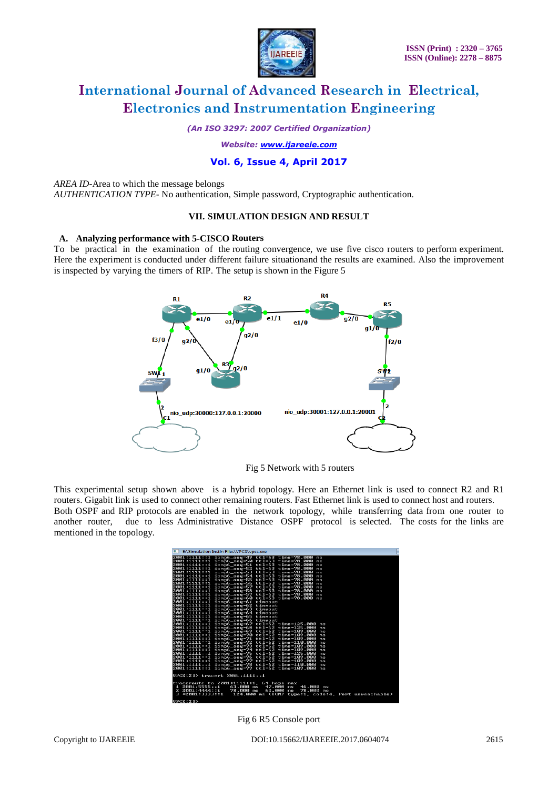

*(An ISO 3297: 2007 Certified Organization)*

*Website: www.ijareeie.com*

# **Vol. 6, Issue 4, April 2017**

#### *AREA ID-*Area to which the message belongs

*AUTHENTICATION TYPE-* No authentication, Simple password, Cryptographic authentication.

### **VII. SIMULATION DESIGN AND RESULT**

### **A. Analyzing performance with 5-CISCO Routers**

To be practical in the examination of the routing convergence, we use five cisco routers to perform experiment. Here the experiment is conducted under different failure situationand the results are examined. Also the improvement is inspected by varying the timers of RIP. The setup is shown in the Figure 5



Fig 5 Network with 5 routers

This experimental setup shown above is a hybrid topology. Here an Ethernet link is used to connect R2 and R1 routers. Gigabit link is used to connect other remaining routers. Fast Ethernet link is used to connect host and routers. Both OSPF and RIP protocols are enabled in the network topology, while transferring data from one router to another router, due to less Administrative Distance OSPF protocol is selected. The costs for the links are

| 医肌<br>E:\Simulation Instln Files\VPCS\vpcs.exe<br>٠                                                  |
|------------------------------------------------------------------------------------------------------|
| 2001:1111::1 icmp6_seq=49 ttl=63 time=78.000<br>ms                                                   |
| 2001:1111::1 icmp6_seq=50 ttl=63 time=78.000<br>ns                                                   |
| 2001:1111::1 icmp6_seg=51 ttl=63 time=78.000<br>ms                                                   |
| 2001:1111::1 icmp6 seg=52 ttl=63 time=78.000<br>ns                                                   |
| 2001:1111::1 icmp6_seq=53 ttl=63 time=78.000<br>ms                                                   |
| icmp6_seq=54 ttl=63 time=78.000<br>2001:1111::1<br>ns                                                |
| 2001:1111::1 icmp6_seq=55 ttl=63 time=78.000<br>ms                                                   |
| 2001:1111::1 icmp6_seq=56 ttl=63 time=78.000<br>ns                                                   |
| 2001:1111::1 icmp6_seq=57 ttl=63 time=78.000<br>ms                                                   |
| 2001:1111::1 icmp6_seq=58 ttl=63 time=78.000<br>ns                                                   |
| icmp6_seq=59 ttl=63 time=78.000<br>2001:1111::1<br>ms                                                |
| 2001:1111::1 icmp6_seq=60 ttl=63 time=78.000<br>me                                                   |
| 2001:1111::1 icmp6_seq=61 timeout                                                                    |
| 2001:1111::1 icmp6_seq=62 timeout                                                                    |
| 2001:1111::1 icmp6_seq=63 timeout                                                                    |
| 2001:1111::1 icmp6_seq=64 timeout                                                                    |
| 2001:1111::1 icmp6_seq=65 timeout                                                                    |
| 2001:1111::1 icmp6_seq=66 timeout                                                                    |
| 2001:1111::1<br>icmp6_seg=67 ttl=62 time=125.000<br>ms                                               |
| icmp6_seq=68 ttl=62 time=125.000<br>2001:1111::1<br>ns                                               |
| 2001:1111::1 icmp6_seg=69 ttl=62 time=109.000<br>ms                                                  |
| 2001:1111::1 icmp6_seq=70 ttl=62 time=109.000<br>пs                                                  |
| 2001:1111::1 icmp6_seq=71 ttl=62 time=109.000<br>ms                                                  |
| 2001:1111::1 icmp6_seq=72 ttl=62 time=110.000<br>ns<br>2001:1111::1 icmp6_seg=73 ttl=62 time=109.000 |
| ms<br>2001:1111::1 icmp6_seq=74 ttl=62 time=109.000                                                  |
| ns<br>2001:1111::1 icmp6_seg=75 ttl=62 time=125.000                                                  |
| ms<br>2001:1111::1<br>icmp6_seq=76 ttl=62 time=109.000<br>пs                                         |
| 2001:1111::1<br>icmp6_seg=77 ttl=62 time=109.000<br>ms                                               |
| 2001:1111::1 icmp6_seq=78 ttl=62 time=110.000<br>ns                                                  |
| $tt1=62$ $time=109.000$<br>2001:1111::1 icmp6_seq=79<br>ms                                           |
|                                                                                                      |
| UPCS[2]> tracert 2001:1111::1                                                                        |
|                                                                                                      |
| traceroute to 2001:1111::1.<br>64 hops max                                                           |
| 2001:5555::1<br>46.000<br>$63.000$ ms<br>47.000<br>п<br>ms<br>日常                                     |
| 62.000<br>$\mathbf{z}$<br>2001:4444::1<br>78.000 ms<br>78.000 ms<br>ms                               |
| $3 *2001 : 3333 : 1$<br>124.000 ms (ICMP type:1, code:4, Port unreachable)                           |
| інрея гэл х                                                                                          |

Fig 6 R5 Console port

mentioned in the topology.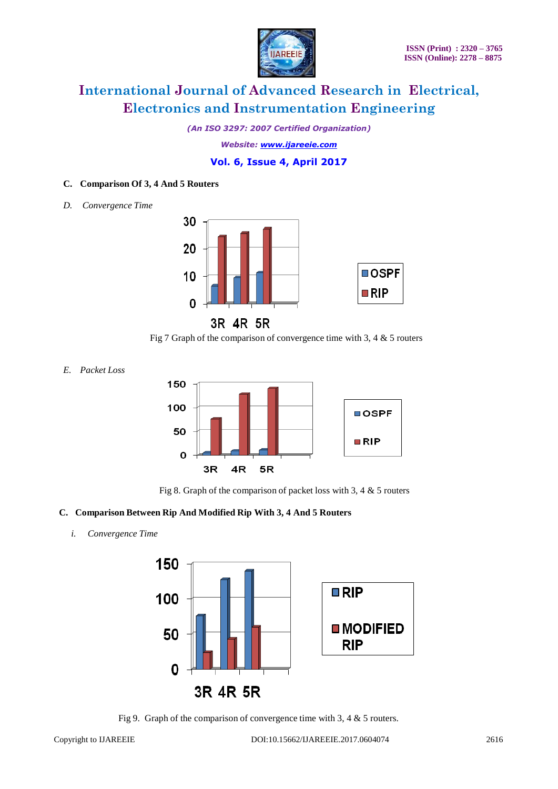

*(An ISO 3297: 2007 Certified Organization)*

*Website: www.ijareeie.com*

# **Vol. 6, Issue 4, April 2017**

### **C. Comparison Of 3, 4 And 5 Routers**

*D. Convergence Time*



3R 4R 5R

Fig 7 Graph of the comparison of convergence time with 3, 4  $\&$  5 routers

*E. Packet Loss*



Fig 8. Graph of the comparison of packet loss with 3, 4 & 5 routers

# **C. Comparison Between Rip And Modified Rip With 3, 4 And 5 Routers**

### *i. Convergence Time*



Fig 9. Graph of the comparison of convergence time with 3, 4 & 5 routers.